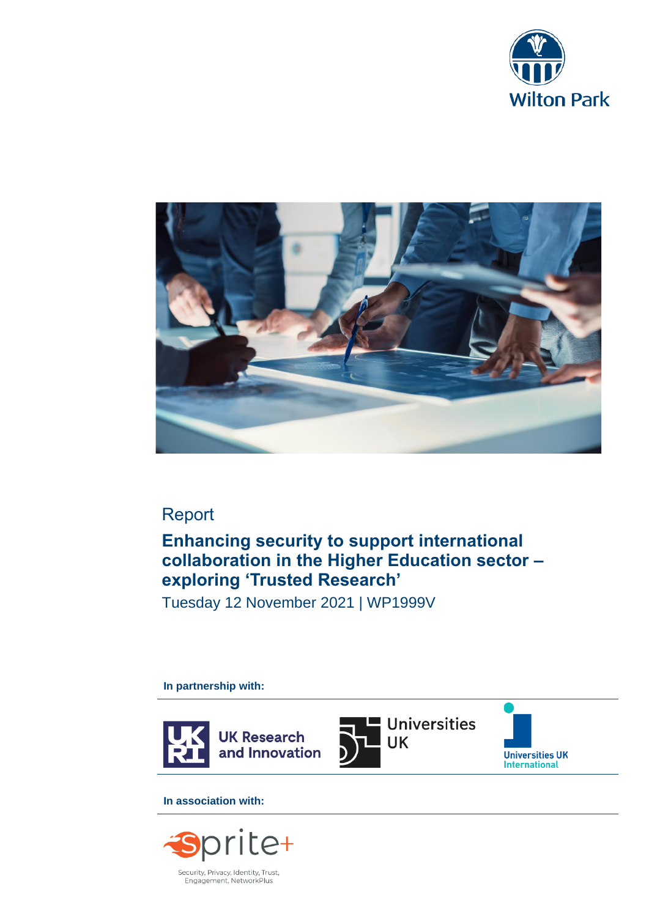



## Report

## **Enhancing security to support international collaboration in the Higher Education sector – exploring 'Trusted Research'**

Tuesday 12 November 2021 | WP1999V

**In partnership with:** 



**In association with:**

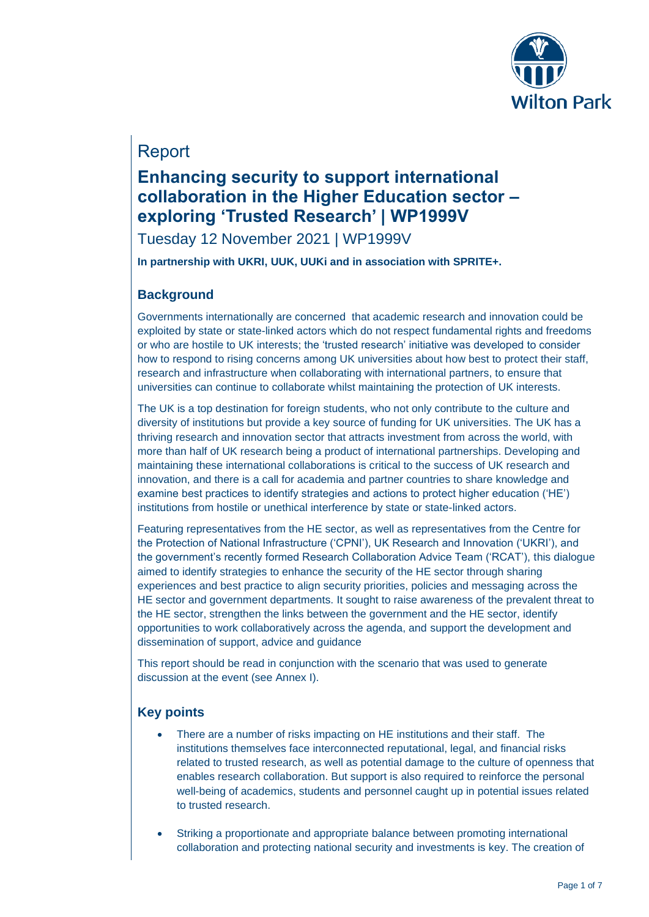

## Report

# **Enhancing security to support international collaboration in the Higher Education sector – exploring 'Trusted Research' | WP1999V**

Tuesday 12 November 2021 | WP1999V

**In partnership with UKRI, UUK, UUKi and in association with SPRITE+.**

### **Background**

Governments internationally are concerned that academic research and innovation could be exploited by state or state-linked actors which do not respect fundamental rights and freedoms or who are hostile to UK interests; the 'trusted research' initiative was developed to consider how to respond to rising concerns among UK universities about how best to protect their staff, research and infrastructure when collaborating with international partners, to ensure that universities can continue to collaborate whilst maintaining the protection of UK interests.

The UK is a top destination for foreign students, who not only contribute to the culture and diversity of institutions but provide a key source of funding for UK universities. The UK has a thriving research and innovation sector that attracts investment from across the world, with more than half of UK research being a product of international partnerships. Developing and maintaining these international collaborations is critical to the success of UK research and innovation, and there is a call for academia and partner countries to share knowledge and examine best practices to identify strategies and actions to protect higher education ('HE') institutions from hostile or unethical interference by state or state-linked actors.

Featuring representatives from the HE sector, as well as representatives from the Centre for the Protection of National Infrastructure ('CPNI'), UK Research and Innovation ('UKRI'), and the government's recently formed Research Collaboration Advice Team ('RCAT'), this dialogue aimed to identify strategies to enhance the security of the HE sector through sharing experiences and best practice to align security priorities, policies and messaging across the HE sector and government departments. It sought to raise awareness of the prevalent threat to the HE sector, strengthen the links between the government and the HE sector, identify opportunities to work collaboratively across the agenda, and support the development and dissemination of support, advice and guidance

This report should be read in conjunction with the scenario that was used to generate discussion at the event (see Annex I).

### **Key points**

- There are a number of risks impacting on HE institutions and their staff. The institutions themselves face interconnected reputational, legal, and financial risks related to trusted research, as well as potential damage to the culture of openness that enables research collaboration. But support is also required to reinforce the personal well-being of academics, students and personnel caught up in potential issues related to trusted research.
- Striking a proportionate and appropriate balance between promoting international collaboration and protecting national security and investments is key. The creation of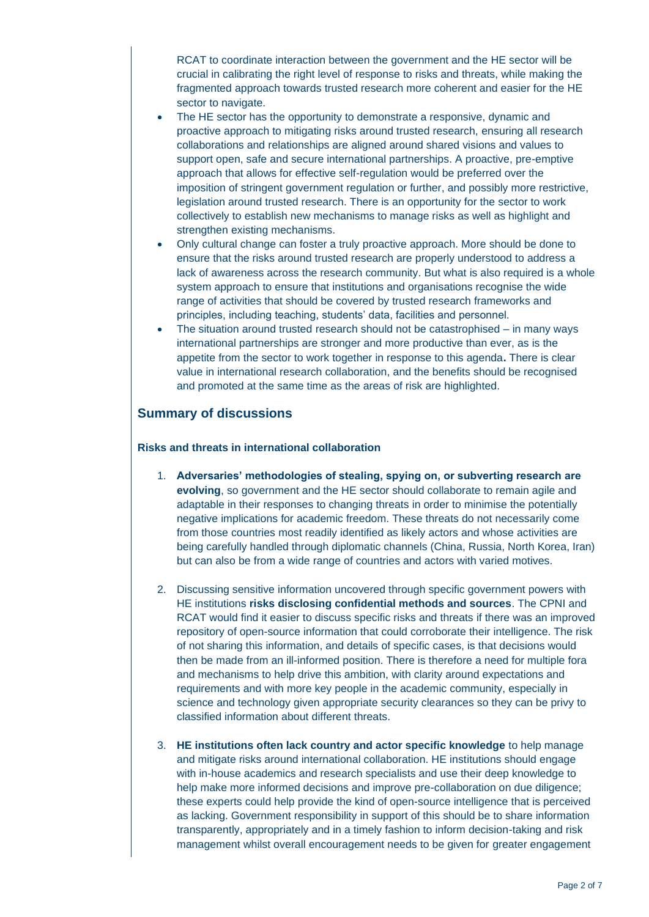RCAT to coordinate interaction between the government and the HE sector will be crucial in calibrating the right level of response to risks and threats, while making the fragmented approach towards trusted research more coherent and easier for the HE sector to navigate.

- The HE sector has the opportunity to demonstrate a responsive, dynamic and proactive approach to mitigating risks around trusted research, ensuring all research collaborations and relationships are aligned around shared visions and values to support open, safe and secure international partnerships. A proactive, pre-emptive approach that allows for effective self-regulation would be preferred over the imposition of stringent government regulation or further, and possibly more restrictive, legislation around trusted research. There is an opportunity for the sector to work collectively to establish new mechanisms to manage risks as well as highlight and strengthen existing mechanisms.
- Only cultural change can foster a truly proactive approach. More should be done to ensure that the risks around trusted research are properly understood to address a lack of awareness across the research community. But what is also required is a whole system approach to ensure that institutions and organisations recognise the wide range of activities that should be covered by trusted research frameworks and principles, including teaching, students' data, facilities and personnel.
- The situation around trusted research should not be catastrophised in many ways international partnerships are stronger and more productive than ever, as is the appetite from the sector to work together in response to this agenda**.** There is clear value in international research collaboration, and the benefits should be recognised and promoted at the same time as the areas of risk are highlighted.

### **Summary of discussions**

#### **Risks and threats in international collaboration**

- 1. **Adversaries' methodologies of stealing, spying on, or subverting research are evolving**, so government and the HE sector should collaborate to remain agile and adaptable in their responses to changing threats in order to minimise the potentially negative implications for academic freedom. These threats do not necessarily come from those countries most readily identified as likely actors and whose activities are being carefully handled through diplomatic channels (China, Russia, North Korea, Iran) but can also be from a wide range of countries and actors with varied motives.
- 2. Discussing sensitive information uncovered through specific government powers with HE institutions **risks disclosing confidential methods and sources**. The CPNI and RCAT would find it easier to discuss specific risks and threats if there was an improved repository of open-source information that could corroborate their intelligence. The risk of not sharing this information, and details of specific cases, is that decisions would then be made from an ill-informed position. There is therefore a need for multiple fora and mechanisms to help drive this ambition, with clarity around expectations and requirements and with more key people in the academic community, especially in science and technology given appropriate security clearances so they can be privy to classified information about different threats.
- 3. **HE institutions often lack country and actor specific knowledge** to help manage and mitigate risks around international collaboration. HE institutions should engage with in-house academics and research specialists and use their deep knowledge to help make more informed decisions and improve pre-collaboration on due diligence; these experts could help provide the kind of open-source intelligence that is perceived as lacking. Government responsibility in support of this should be to share information transparently, appropriately and in a timely fashion to inform decision-taking and risk management whilst overall encouragement needs to be given for greater engagement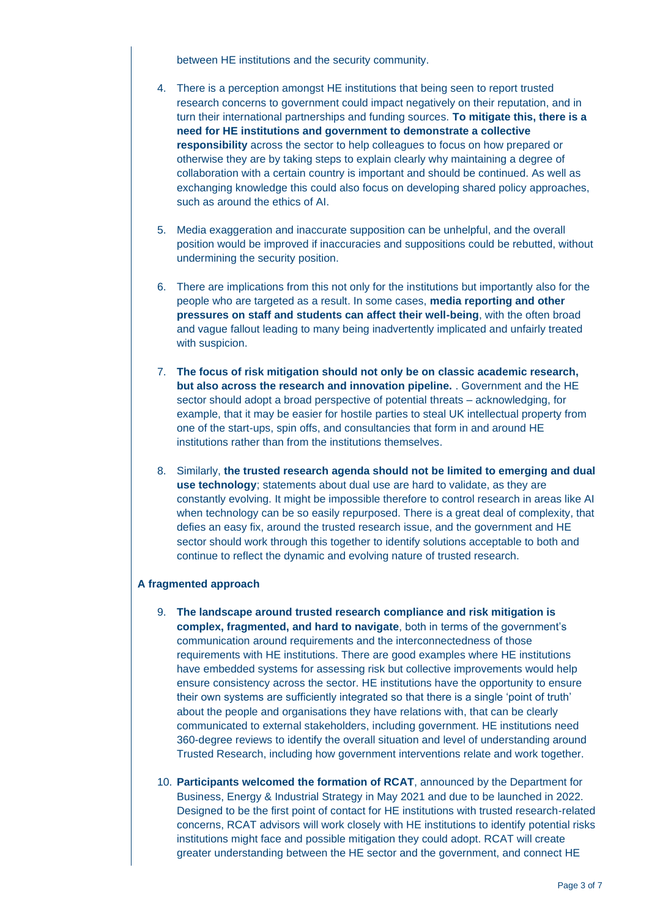between HE institutions and the security community.

- 4. There is a perception amongst HE institutions that being seen to report trusted research concerns to government could impact negatively on their reputation, and in turn their international partnerships and funding sources. **To mitigate this, there is a need for HE institutions and government to demonstrate a collective responsibility** across the sector to help colleagues to focus on how prepared or otherwise they are by taking steps to explain clearly why maintaining a degree of collaboration with a certain country is important and should be continued. As well as exchanging knowledge this could also focus on developing shared policy approaches, such as around the ethics of AI.
- 5. Media exaggeration and inaccurate supposition can be unhelpful, and the overall position would be improved if inaccuracies and suppositions could be rebutted, without undermining the security position.
- 6. There are implications from this not only for the institutions but importantly also for the people who are targeted as a result. In some cases, **media reporting and other pressures on staff and students can affect their well-being**, with the often broad and vague fallout leading to many being inadvertently implicated and unfairly treated with suspicion.
- 7. **The focus of risk mitigation should not only be on classic academic research, but also across the research and innovation pipeline.** . Government and the HE sector should adopt a broad perspective of potential threats – acknowledging, for example, that it may be easier for hostile parties to steal UK intellectual property from one of the start-ups, spin offs, and consultancies that form in and around HE institutions rather than from the institutions themselves.
- 8. Similarly, **the trusted research agenda should not be limited to emerging and dual use technology**; statements about dual use are hard to validate, as they are constantly evolving. It might be impossible therefore to control research in areas like AI when technology can be so easily repurposed. There is a great deal of complexity, that defies an easy fix, around the trusted research issue, and the government and HE sector should work through this together to identify solutions acceptable to both and continue to reflect the dynamic and evolving nature of trusted research.

#### **A fragmented approach**

- 9. **The landscape around trusted research compliance and risk mitigation is complex, fragmented, and hard to navigate**, both in terms of the government's communication around requirements and the interconnectedness of those requirements with HE institutions. There are good examples where HE institutions have embedded systems for assessing risk but collective improvements would help ensure consistency across the sector. HE institutions have the opportunity to ensure their own systems are sufficiently integrated so that there is a single 'point of truth' about the people and organisations they have relations with, that can be clearly communicated to external stakeholders, including government. HE institutions need 360-degree reviews to identify the overall situation and level of understanding around Trusted Research, including how government interventions relate and work together.
- 10. **Participants welcomed the formation of RCAT**, announced by the Department for Business, Energy & Industrial Strategy in May 2021 and due to be launched in 2022. Designed to be the first point of contact for HE institutions with trusted research-related concerns, RCAT advisors will work closely with HE institutions to identify potential risks institutions might face and possible mitigation they could adopt. RCAT will create greater understanding between the HE sector and the government, and connect HE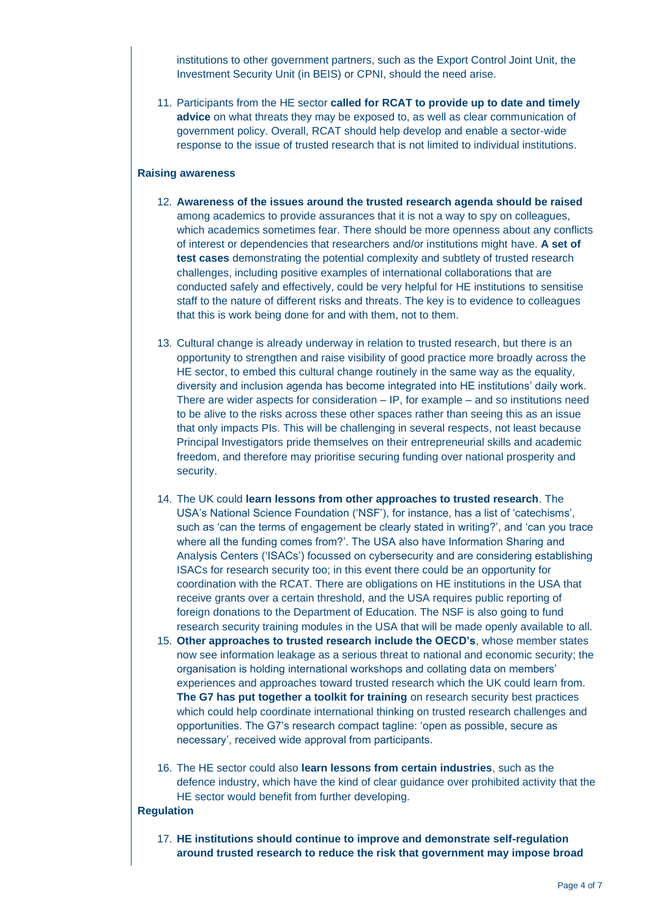institutions to other government partners, such as the Export Control Joint Unit, the Investment Security Unit (in BEIS) or CPNI, should the need arise.

11. Participants from the HE sector **called for RCAT to provide up to date and timely advice** on what threats they may be exposed to, as well as clear communication of government policy. Overall, RCAT should help develop and enable a sector-wide response to the issue of trusted research that is not limited to individual institutions.

#### **Raising awareness**

- 12. **Awareness of the issues around the trusted research agenda should be raised** among academics to provide assurances that it is not a way to spy on colleagues, which academics sometimes fear. There should be more openness about any conflicts of interest or dependencies that researchers and/or institutions might have. **A set of test cases** demonstrating the potential complexity and subtlety of trusted research challenges, including positive examples of international collaborations that are conducted safely and effectively, could be very helpful for HE institutions to sensitise staff to the nature of different risks and threats. The key is to evidence to colleagues that this is work being done for and with them, not to them.
- 13. Cultural change is already underway in relation to trusted research, but there is an opportunity to strengthen and raise visibility of good practice more broadly across the HE sector, to embed this cultural change routinely in the same way as the equality, diversity and inclusion agenda has become integrated into HE institutions' daily work. There are wider aspects for consideration – IP, for example – and so institutions need to be alive to the risks across these other spaces rather than seeing this as an issue that only impacts PIs. This will be challenging in several respects, not least because Principal Investigators pride themselves on their entrepreneurial skills and academic freedom, and therefore may prioritise securing funding over national prosperity and security.
- 14. The UK could **learn lessons from other approaches to trusted research**. The USA's National Science Foundation ('NSF'), for instance, has a list of 'catechisms', such as 'can the terms of engagement be clearly stated in writing?', and 'can you trace where all the funding comes from?'. The USA also have Information Sharing and Analysis Centers ('ISACs') focussed on cybersecurity and are considering establishing ISACs for research security too; in this event there could be an opportunity for coordination with the RCAT. There are obligations on HE institutions in the USA that receive grants over a certain threshold, and the USA requires public reporting of foreign donations to the Department of Education. The NSF is also going to fund research security training modules in the USA that will be made openly available to all.
- 15. **Other approaches to trusted research include the OECD's**, whose member states now see information leakage as a serious threat to national and economic security; the organisation is holding international workshops and collating data on members' experiences and approaches toward trusted research which the UK could learn from. **The G7 has put together a toolkit for training** on research security best practices which could help coordinate international thinking on trusted research challenges and opportunities. The G7's research compact tagline: 'open as possible, secure as necessary', received wide approval from participants.
- 16. The HE sector could also **learn lessons from certain industries**, such as the defence industry, which have the kind of clear guidance over prohibited activity that the HE sector would benefit from further developing.

#### **Regulation**

17. **HE institutions should continue to improve and demonstrate self-regulation around trusted research to reduce the risk that government may impose broad**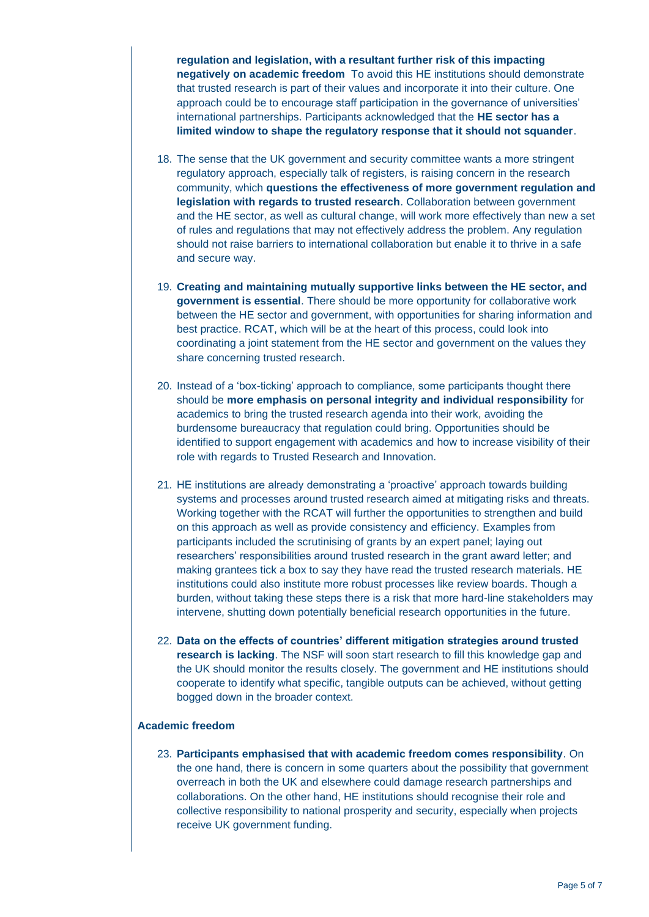**regulation and legislation, with a resultant further risk of this impacting negatively on academic freedom** To avoid this HE institutions should demonstrate that trusted research is part of their values and incorporate it into their culture. One approach could be to encourage staff participation in the governance of universities' international partnerships. Participants acknowledged that the **HE sector has a limited window to shape the regulatory response that it should not squander**.

- 18. The sense that the UK government and security committee wants a more stringent regulatory approach, especially talk of registers, is raising concern in the research community, which **questions the effectiveness of more government regulation and legislation with regards to trusted research**. Collaboration between government and the HE sector, as well as cultural change, will work more effectively than new a set of rules and regulations that may not effectively address the problem. Any regulation should not raise barriers to international collaboration but enable it to thrive in a safe and secure way.
- 19. **Creating and maintaining mutually supportive links between the HE sector, and government is essential**. There should be more opportunity for collaborative work between the HE sector and government, with opportunities for sharing information and best practice. RCAT, which will be at the heart of this process, could look into coordinating a joint statement from the HE sector and government on the values they share concerning trusted research.
- 20. Instead of a 'box-ticking' approach to compliance, some participants thought there should be **more emphasis on personal integrity and individual responsibility** for academics to bring the trusted research agenda into their work, avoiding the burdensome bureaucracy that regulation could bring. Opportunities should be identified to support engagement with academics and how to increase visibility of their role with regards to Trusted Research and Innovation.
- 21. HE institutions are already demonstrating a 'proactive' approach towards building systems and processes around trusted research aimed at mitigating risks and threats. Working together with the RCAT will further the opportunities to strengthen and build on this approach as well as provide consistency and efficiency. Examples from participants included the scrutinising of grants by an expert panel; laying out researchers' responsibilities around trusted research in the grant award letter; and making grantees tick a box to say they have read the trusted research materials. HE institutions could also institute more robust processes like review boards. Though a burden, without taking these steps there is a risk that more hard-line stakeholders may intervene, shutting down potentially beneficial research opportunities in the future.
- 22. **Data on the effects of countries' different mitigation strategies around trusted research is lacking**. The NSF will soon start research to fill this knowledge gap and the UK should monitor the results closely. The government and HE institutions should cooperate to identify what specific, tangible outputs can be achieved, without getting bogged down in the broader context.

#### **Academic freedom**

23. **Participants emphasised that with academic freedom comes responsibility**. On the one hand, there is concern in some quarters about the possibility that government overreach in both the UK and elsewhere could damage research partnerships and collaborations. On the other hand, HE institutions should recognise their role and collective responsibility to national prosperity and security, especially when projects receive UK government funding.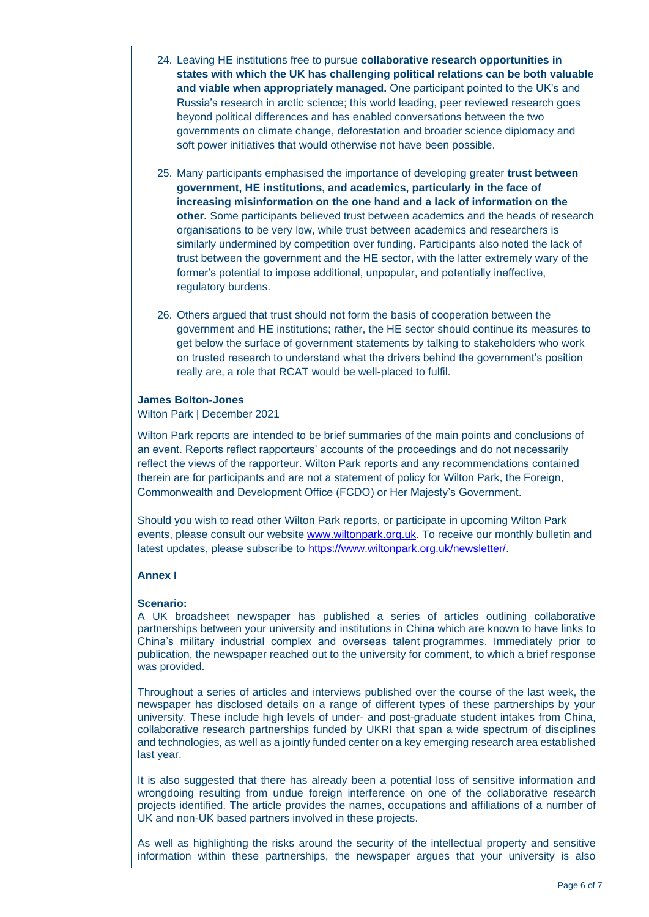- 24. Leaving HE institutions free to pursue **collaborative research opportunities in states with which the UK has challenging political relations can be both valuable and viable when appropriately managed.** One participant pointed to the UK's and Russia's research in arctic science; this world leading, peer reviewed research goes beyond political differences and has enabled conversations between the two governments on climate change, deforestation and broader science diplomacy and soft power initiatives that would otherwise not have been possible.
- 25. Many participants emphasised the importance of developing greater **trust between government, HE institutions, and academics, particularly in the face of increasing misinformation on the one hand and a lack of information on the other.** Some participants believed trust between academics and the heads of research organisations to be very low, while trust between academics and researchers is similarly undermined by competition over funding. Participants also noted the lack of trust between the government and the HE sector, with the latter extremely wary of the former's potential to impose additional, unpopular, and potentially ineffective, regulatory burdens.
- 26. Others argued that trust should not form the basis of cooperation between the government and HE institutions; rather, the HE sector should continue its measures to get below the surface of government statements by talking to stakeholders who work on trusted research to understand what the drivers behind the government's position really are, a role that RCAT would be well-placed to fulfil.

#### **James Bolton-Jones**

Wilton Park | December 2021

Wilton Park reports are intended to be brief summaries of the main points and conclusions of an event. Reports reflect rapporteurs' accounts of the proceedings and do not necessarily reflect the views of the rapporteur. Wilton Park reports and any recommendations contained therein are for participants and are not a statement of policy for Wilton Park, the Foreign, Commonwealth and Development Office (FCDO) or Her Majesty's Government.

Should you wish to read other Wilton Park reports, or participate in upcoming Wilton Park events, please consult our website [www.wiltonpark.org.uk.](http://www.wiltonpark.org.uk/) To receive our monthly bulletin and latest updates, please subscribe to [https://www.wiltonpark.org.uk/newsletter/.](https://www.wiltonpark.org.uk/newsletter/)

#### **Annex I**

#### **Scenario:**

A UK broadsheet newspaper has published a series of articles outlining collaborative partnerships between your university and institutions in China which are known to have links to China's military industrial complex and overseas talent programmes. Immediately prior to publication, the newspaper reached out to the university for comment, to which a brief response was provided.

Throughout a series of articles and interviews published over the course of the last week, the newspaper has disclosed details on a range of different types of these partnerships by your university. These include high levels of under- and post-graduate student intakes from China, collaborative research partnerships funded by UKRI that span a wide spectrum of disciplines and technologies, as well as a jointly funded center on a key emerging research area established last year.

It is also suggested that there has already been a potential loss of sensitive information and wrongdoing resulting from undue foreign interference on one of the collaborative research projects identified. The article provides the names, occupations and affiliations of a number of UK and non-UK based partners involved in these projects.

As well as highlighting the risks around the security of the intellectual property and sensitive information within these partnerships, the newspaper argues that your university is also